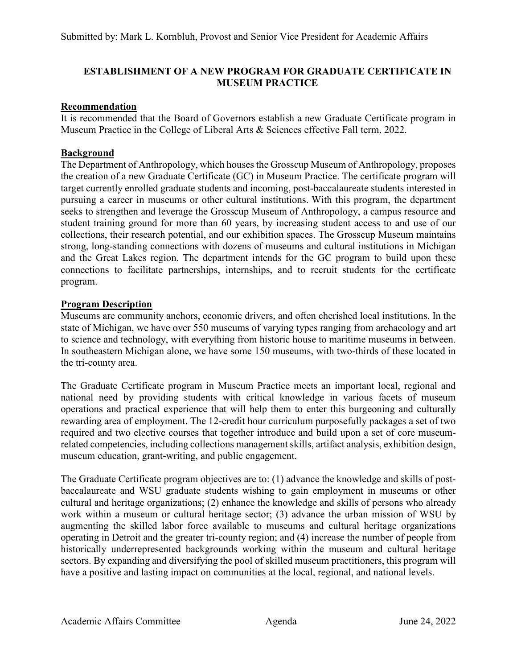## **ESTABLISHMENT OF A NEW PROGRAM FOR GRADUATE CERTIFICATE IN MUSEUM PRACTICE**

## **Recommendation**

It is recommended that the Board of Governors establish a new Graduate Certificate program in Museum Practice in the College of Liberal Arts & Sciences effective Fall term, 2022.

# **Background**

The Department of Anthropology, which houses the Grosscup Museum of Anthropology, proposes the creation of a new Graduate Certificate (GC) in Museum Practice. The certificate program will target currently enrolled graduate students and incoming, post-baccalaureate students interested in pursuing a career in museums or other cultural institutions. With this program, the department seeks to strengthen and leverage the Grosscup Museum of Anthropology, a campus resource and student training ground for more than 60 years, by increasing student access to and use of our collections, their research potential, and our exhibition spaces. The Grosscup Museum maintains strong, long-standing connections with dozens of museums and cultural institutions in Michigan and the Great Lakes region. The department intends for the GC program to build upon these connections to facilitate partnerships, internships, and to recruit students for the certificate program.

## **Program Description**

Museums are community anchors, economic drivers, and often cherished local institutions. In the state of Michigan, we have over 550 museums of varying types ranging from archaeology and art to science and technology, with everything from historic house to maritime museums in between. In southeastern Michigan alone, we have some 150 museums, with two-thirds of these located in the tri-county area.

The Graduate Certificate program in Museum Practice meets an important local, regional and national need by providing students with critical knowledge in various facets of museum operations and practical experience that will help them to enter this burgeoning and culturally rewarding area of employment. The 12-credit hour curriculum purposefully packages a set of two required and two elective courses that together introduce and build upon a set of core museumrelated competencies, including collections management skills, artifact analysis, exhibition design, museum education, grant-writing, and public engagement.

The Graduate Certificate program objectives are to: (1) advance the knowledge and skills of postbaccalaureate and WSU graduate students wishing to gain employment in museums or other cultural and heritage organizations; (2) enhance the knowledge and skills of persons who already work within a museum or cultural heritage sector; (3) advance the urban mission of WSU by augmenting the skilled labor force available to museums and cultural heritage organizations operating in Detroit and the greater tri-county region; and (4) increase the number of people from historically underrepresented backgrounds working within the museum and cultural heritage sectors. By expanding and diversifying the pool of skilled museum practitioners, this program will have a positive and lasting impact on communities at the local, regional, and national levels.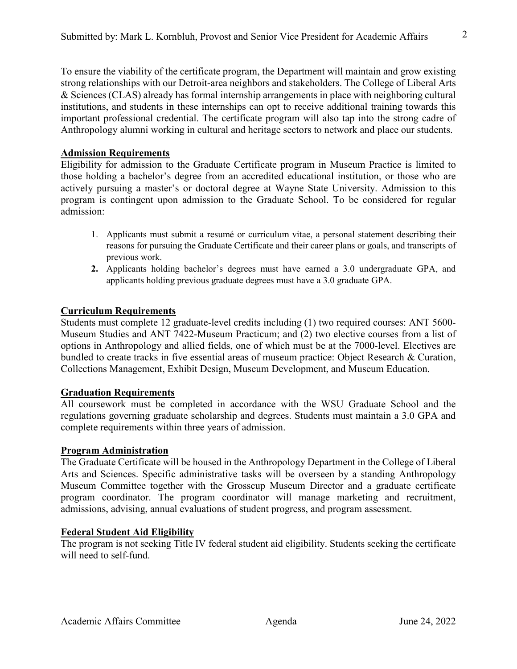To ensure the viability of the certificate program, the Department will maintain and grow existing strong relationships with our Detroit-area neighbors and stakeholders. The College of Liberal Arts & Sciences (CLAS) already has formal internship arrangements in place with neighboring cultural institutions, and students in these internships can opt to receive additional training towards this important professional credential. The certificate program will also tap into the strong cadre of Anthropology alumni working in cultural and heritage sectors to network and place our students.

#### **Admission Requirements**

Eligibility for admission to the Graduate Certificate program in Museum Practice is limited to those holding a bachelor's degree from an accredited educational institution, or those who are actively pursuing a master's or doctoral degree at Wayne State University. Admission to this program is contingent upon admission to the Graduate School. To be considered for regular admission:

- 1. Applicants must submit a resumé or curriculum vitae, a personal statement describing their reasons for pursuing the Graduate Certificate and their career plans or goals, and transcripts of previous work.
- **2.** Applicants holding bachelor's degrees must have earned a 3.0 undergraduate GPA, and applicants holding previous graduate degrees must have a 3.0 graduate GPA.

## **Curriculum Requirements**

Students must complete 12 graduate-level credits including (1) two required courses: ANT 5600- Museum Studies and ANT 7422-Museum Practicum; and (2) two elective courses from a list of options in Anthropology and allied fields, one of which must be at the 7000-level. Electives are bundled to create tracks in five essential areas of museum practice: Object Research & Curation, Collections Management, Exhibit Design, Museum Development, and Museum Education.

## **Graduation Requirements**

All coursework must be completed in accordance with the WSU Graduate School and the regulations governing graduate scholarship and degrees. Students must maintain a 3.0 GPA and complete requirements within three years of admission.

## **Program Administration**

The Graduate Certificate will be housed in the Anthropology Department in the College of Liberal Arts and Sciences. Specific administrative tasks will be overseen by a standing Anthropology Museum Committee together with the Grosscup Museum Director and a graduate certificate program coordinator. The program coordinator will manage marketing and recruitment, admissions, advising, annual evaluations of student progress, and program assessment.

## **Federal Student Aid Eligibility**

The program is not seeking Title IV federal student aid eligibility. Students seeking the certificate will need to self-fund.